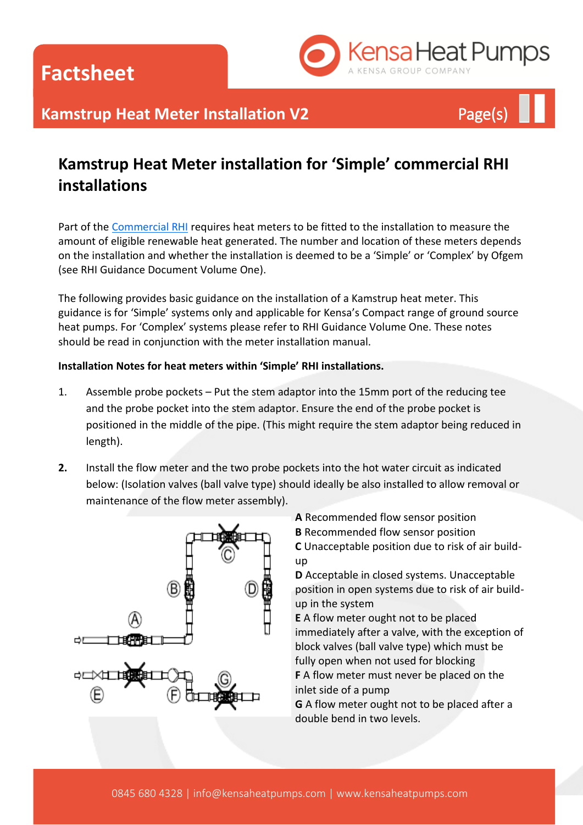**Factsheet**



## **Kamstrup Heat Meter Installation V2** Page(s)

### **Kamstrup Heat Meter installation for 'Simple' commercial RHI installations**

Part of the [Commercial RHI](http://www.kensaheatpumps.com/grants-incentives/rhi-1-non-domestic/district-heating/) requires heat meters to be fitted to the installation to measure the amount of eligible renewable heat generated. The number and location of these meters depends on the installation and whether the installation is deemed to be a 'Simple' or 'Complex' by Ofgem (see RHI Guidance Document Volume One).

The following provides basic guidance on the installation of a Kamstrup heat meter. This guidance is for 'Simple' systems only and applicable for Kensa's Compact range of ground source heat pumps. For 'Complex' systems please refer to RHI Guidance Volume One. These notes should be read in conjunction with the meter installation manual.

#### **Installation Notes for heat meters within 'Simple' RHI installations.**

- 1. Assemble probe pockets Put the stem adaptor into the 15mm port of the reducing tee and the probe pocket into the stem adaptor. Ensure the end of the probe pocket is positioned in the middle of the pipe. (This might require the stem adaptor being reduced in length).
- **2.** Install the flow meter and the two probe pockets into the hot water circuit as indicated below: (Isolation valves (ball valve type) should ideally be also installed to allow removal or maintenance of the flow meter assembly).



**A** Recommended flow sensor position

**B** Recommended flow sensor position **C** Unacceptable position due to risk of air buildup

**D** Acceptable in closed systems. Unacceptable position in open systems due to risk of air buildup in the system

**E** A flow meter ought not to be placed immediately after a valve, with the exception of block valves (ball valve type) which must be fully open when not used for blocking **F** A flow meter must never be placed on the

inlet side of a pump

**G** A flow meter ought not to be placed after a double bend in two levels.